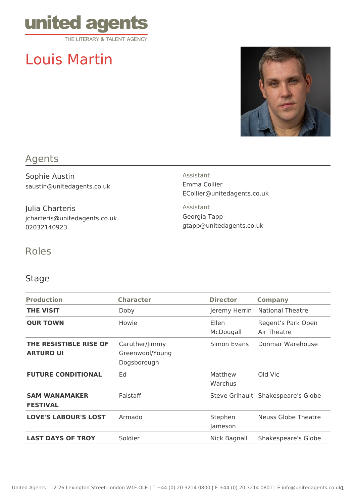

# Louis Martin



## Agents

Sophie Austin saustin@unitedagents.co.uk

Julia Charteris jcharteris@unitedagents.co.uk 02032140923

Assistant Emma Collier ECollier@unitedagents.co.uk

Assistant Georgia Tapp gtapp@unitedagents.co.uk

#### Roles

#### Stage

| <b>Production</b>                          | <b>Character</b>                                 | <b>Director</b>    | <b>Company</b>                     |
|--------------------------------------------|--------------------------------------------------|--------------------|------------------------------------|
| <b>THE VISIT</b>                           | Doby                                             | Jeremy Herrin      | National Theatre                   |
| <b>OUR TOWN</b>                            | Howie                                            | Ellen<br>McDougall | Regent's Park Open<br>Air Theatre  |
| THE RESISTIBLE RISE OF<br><b>ARTURO UI</b> | Caruther/Jimmy<br>Greenwool/Young<br>Dogsborough | Simon Evans        | Donmar Warehouse                   |
| <b>FUTURE CONDITIONAL</b>                  | Ed                                               | Matthew<br>Warchus | Old Vic                            |
| <b>SAM WANAMAKER</b><br><b>FESTIVAL</b>    | Falstaff                                         |                    | Steve Grihault Shakespeare's Globe |
| <b>LOVE'S LABOUR'S LOST</b>                | Armado                                           | Stephen<br>Jameson | Neuss Globe Theatre                |
| <b>LAST DAYS OF TROY</b>                   | Soldier                                          | Nick Bagnall       | Shakespeare's Globe                |